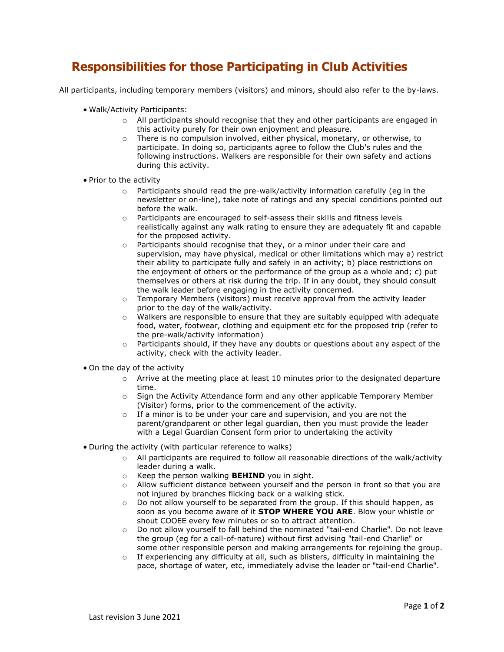## **Responsibilities for those Participating in Club Activities**

All participants, including temporary members (visitors) and minors, should also refer to the by-laws.

- Walk/Activity Participants:
	- $\circ$  All participants should recognise that they and other participants are engaged in this activity purely for their own enjoyment and pleasure.
	- $\circ$  There is no compulsion involved, either physical, monetary, or otherwise, to participate. In doing so, participants agree to follow the Club's rules and the following instructions. Walkers are responsible for their own safety and actions during this activity.
- Prior to the activity
	- o Participants should read the pre-walk/activity information carefully (eg in the newsletter or on-line), take note of ratings and any special conditions pointed out before the walk.
	- o Participants are encouraged to self-assess their skills and fitness levels realistically against any walk rating to ensure they are adequately fit and capable for the proposed activity.
	- o Participants should recognise that they, or a minor under their care and supervision, may have physical, medical or other limitations which may a) restrict their ability to participate fully and safely in an activity; b) place restrictions on the enjoyment of others or the performance of the group as a whole and; c) put themselves or others at risk during the trip. If in any doubt, they should consult the walk leader before engaging in the activity concerned.
	- o Temporary Members (visitors) must receive approval from the activity leader prior to the day of the walk/activity.
	- o Walkers are responsible to ensure that they are suitably equipped with adequate food, water, footwear, clothing and equipment etc for the proposed trip (refer to the pre-walk/activity information)
	- $\circ$  Participants should, if they have any doubts or questions about any aspect of the activity, check with the activity leader.
- On the day of the activity
	- $\circ$  Arrive at the meeting place at least 10 minutes prior to the designated departure time.
	- $\circ$  Sign the Activity Attendance form and any other applicable Temporary Member (Visitor) forms, prior to the commencement of the activity.
	- $\circ$  If a minor is to be under your care and supervision, and you are not the parent/grandparent or other legal guardian, then you must provide the leader with a Legal Guardian Consent form prior to undertaking the activity
- During the activity (with particular reference to walks)
	- o All participants are required to follow all reasonable directions of the walk/activity leader during a walk.
	- o Keep the person walking **BEHIND** you in sight.
	- $\circ$  Allow sufficient distance between yourself and the person in front so that you are not injured by branches flicking back or a walking stick.
	- $\circ$  Do not allow yourself to be separated from the group. If this should happen, as soon as you become aware of it **STOP WHERE YOU ARE**. Blow your whistle or shout COOEE every few minutes or so to attract attention.
	- o Do not allow yourself to fall behind the nominated "tail-end Charlie". Do not leave the group (eg for a call-of-nature) without first advising "tail-end Charlie" or some other responsible person and making arrangements for rejoining the group.
	- o If experiencing any difficulty at all, such as blisters, difficulty in maintaining the pace, shortage of water, etc, immediately advise the leader or "tail-end Charlie".